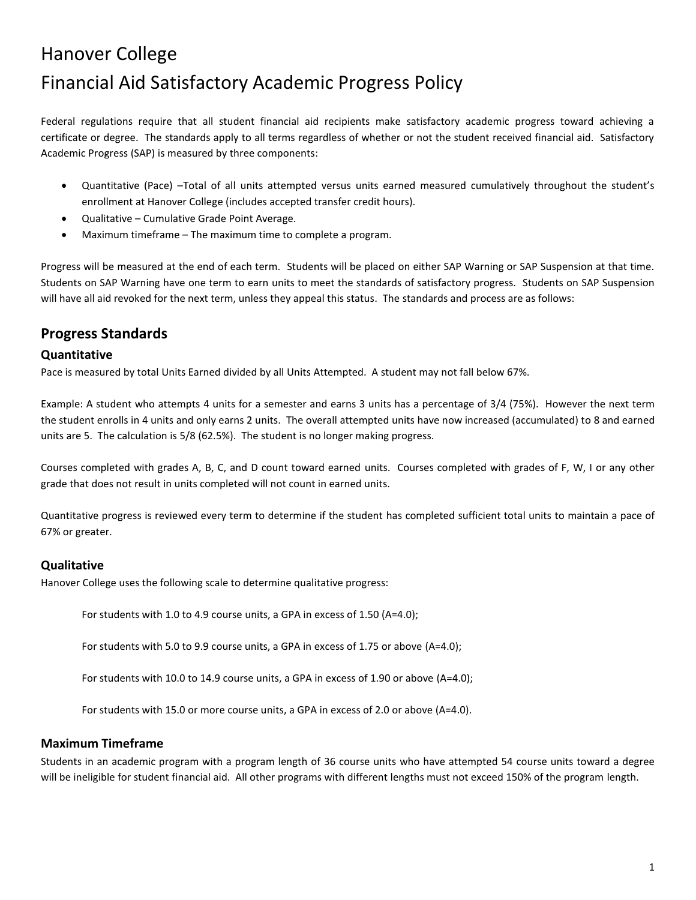# Hanover College Financial Aid Satisfactory Academic Progress Policy

Federal regulations require that all student financial aid recipients make satisfactory academic progress toward achieving a certificate or degree. The standards apply to all terms regardless of whether or not the student received financial aid. Satisfactory Academic Progress (SAP) is measured by three components:

- Quantitative (Pace) –Total of all units attempted versus units earned measured cumulatively throughout the student's enrollment at Hanover College (includes accepted transfer credit hours).
- Qualitative Cumulative Grade Point Average.
- Maximum timeframe The maximum time to complete a program.

Progress will be measured at the end of each term. Students will be placed on either SAP Warning or SAP Suspension at that time. Students on SAP Warning have one term to earn units to meet the standards of satisfactory progress. Students on SAP Suspension will have all aid revoked for the next term, unless they appeal this status. The standards and process are as follows:

## **Progress Standards**

#### **Quantitative**

Pace is measured by total Units Earned divided by all Units Attempted. A student may not fall below 67%.

Example: A student who attempts 4 units for a semester and earns 3 units has a percentage of 3/4 (75%). However the next term the student enrolls in 4 units and only earns 2 units. The overall attempted units have now increased (accumulated) to 8 and earned units are 5. The calculation is 5/8 (62.5%). The student is no longer making progress.

Courses completed with grades A, B, C, and D count toward earned units. Courses completed with grades of F, W, I or any other grade that does not result in units completed will not count in earned units.

Quantitative progress is reviewed every term to determine if the student has completed sufficient total units to maintain a pace of 67% or greater.

#### **Qualitative**

Hanover College uses the following scale to determine qualitative progress:

For students with 1.0 to 4.9 course units, a GPA in excess of 1.50 (A=4.0);

For students with 5.0 to 9.9 course units, a GPA in excess of 1.75 or above (A=4.0);

For students with 10.0 to 14.9 course units, a GPA in excess of 1.90 or above (A=4.0);

For students with 15.0 or more course units, a GPA in excess of 2.0 or above (A=4.0).

#### **Maximum Timeframe**

Students in an academic program with a program length of 36 course units who have attempted 54 course units toward a degree will be ineligible for student financial aid. All other programs with different lengths must not exceed 150% of the program length.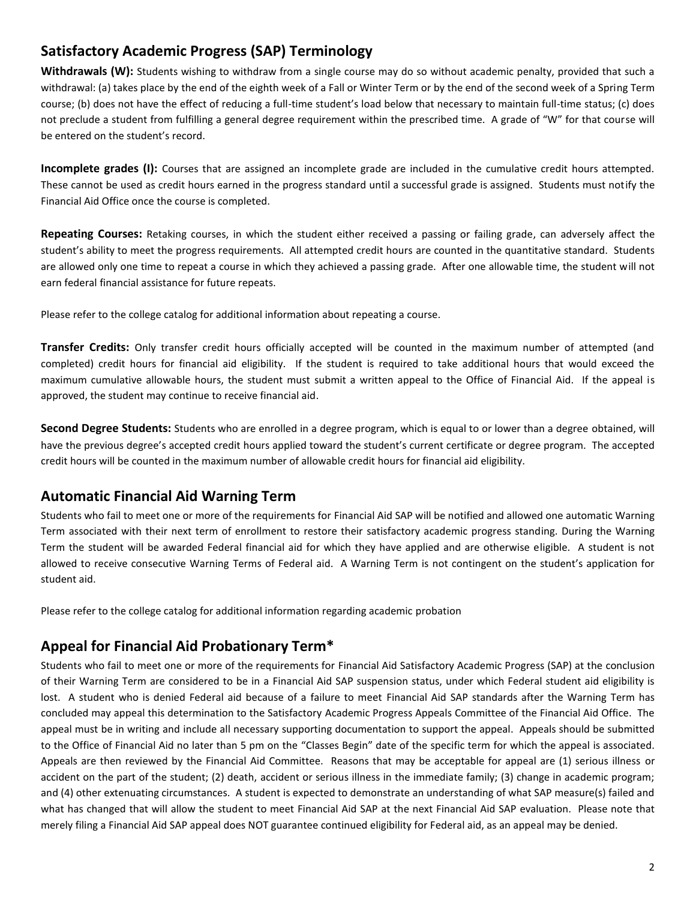# **Satisfactory Academic Progress (SAP) Terminology**

Withdrawals (W): Students wishing to withdraw from a single course may do so without academic penalty, provided that such a withdrawal: (a) takes place by the end of the eighth week of a Fall or Winter Term or by the end of the second week of a Spring Term course; (b) does not have the effect of reducing a full-time student's load below that necessary to maintain full-time status; (c) does not preclude a student from fulfilling a general degree requirement within the prescribed time. A grade of "W" for that course will be entered on the student's record.

**Incomplete grades (I):** Courses that are assigned an incomplete grade are included in the cumulative credit hours attempted. These cannot be used as credit hours earned in the progress standard until a successful grade is assigned. Students must notify the Financial Aid Office once the course is completed.

**Repeating Courses:** Retaking courses, in which the student either received a passing or failing grade, can adversely affect the student's ability to meet the progress requirements. All attempted credit hours are counted in the quantitative standard. Students are allowed only one time to repeat a course in which they achieved a passing grade. After one allowable time, the student will not earn federal financial assistance for future repeats.

Please refer to the college catalog for additional information about repeating a course.

**Transfer Credits:** Only transfer credit hours officially accepted will be counted in the maximum number of attempted (and completed) credit hours for financial aid eligibility. If the student is required to take additional hours that would exceed the maximum cumulative allowable hours, the student must submit a written appeal to the Office of Financial Aid. If the appeal is approved, the student may continue to receive financial aid.

**Second Degree Students:** Students who are enrolled in a degree program, which is equal to or lower than a degree obtained, will have the previous degree's accepted credit hours applied toward the student's current certificate or degree program. The accepted credit hours will be counted in the maximum number of allowable credit hours for financial aid eligibility.

## **Automatic Financial Aid Warning Term**

Students who fail to meet one or more of the requirements for Financial Aid SAP will be notified and allowed one automatic Warning Term associated with their next term of enrollment to restore their satisfactory academic progress standing. During the Warning Term the student will be awarded Federal financial aid for which they have applied and are otherwise eligible. A student is not allowed to receive consecutive Warning Terms of Federal aid. A Warning Term is not contingent on the student's application for student aid.

Please refer to the college catalog for additional information regarding academic probation

## **Appeal for Financial Aid Probationary Term\***

Students who fail to meet one or more of the requirements for Financial Aid Satisfactory Academic Progress (SAP) at the conclusion of their Warning Term are considered to be in a Financial Aid SAP suspension status, under which Federal student aid eligibility is lost. A student who is denied Federal aid because of a failure to meet Financial Aid SAP standards after the Warning Term has concluded may appeal this determination to the Satisfactory Academic Progress Appeals Committee of the Financial Aid Office. The appeal must be in writing and include all necessary supporting documentation to support the appeal. Appeals should be submitted to the Office of Financial Aid no later than 5 pm on the "Classes Begin" date of the specific term for which the appeal is associated. Appeals are then reviewed by the Financial Aid Committee. Reasons that may be acceptable for appeal are (1) serious illness or accident on the part of the student; (2) death, accident or serious illness in the immediate family; (3) change in academic program; and (4) other extenuating circumstances. A student is expected to demonstrate an understanding of what SAP measure(s) failed and what has changed that will allow the student to meet Financial Aid SAP at the next Financial Aid SAP evaluation. Please note that merely filing a Financial Aid SAP appeal does NOT guarantee continued eligibility for Federal aid, as an appeal may be denied.